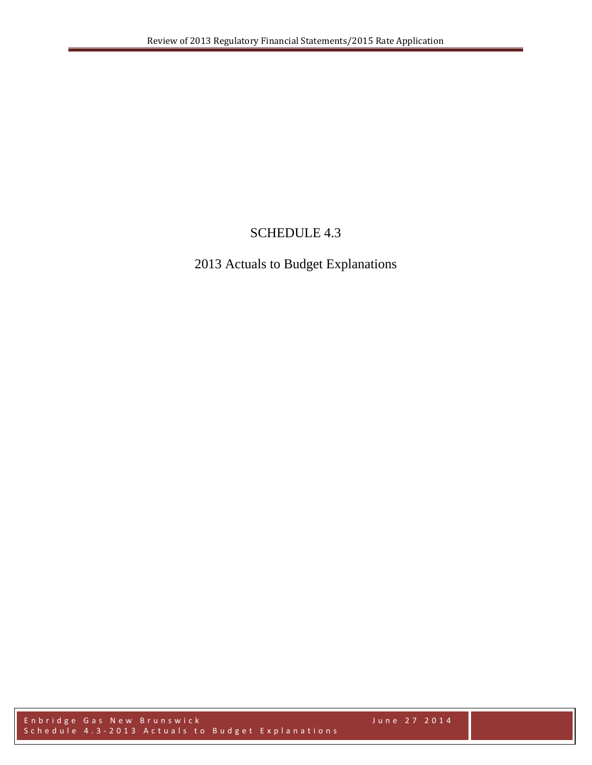# SCHEDULE 4.3

# 2013 Actuals to Budget Explanations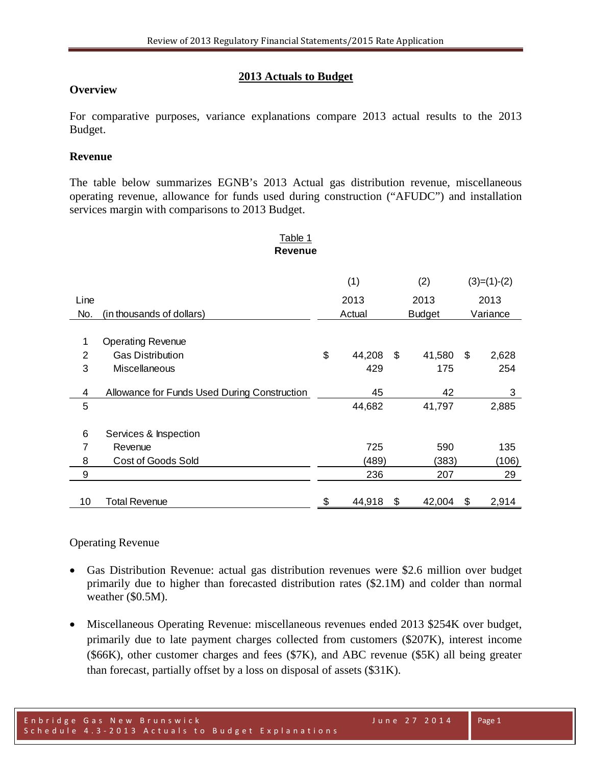## **2013 Actuals to Budget**

### **Overview**

For comparative purposes, variance explanations compare 2013 actual results to the 2013 Budget.

### **Revenue**

The table below summarizes EGNB's 2013 Actual gas distribution revenue, miscellaneous operating revenue, allowance for funds used during construction ("AFUDC") and installation services margin with comparisons to 2013 Budget.

Table 1

| rable 1        |                                              |    |        |     |               |    |               |  |
|----------------|----------------------------------------------|----|--------|-----|---------------|----|---------------|--|
|                | Revenue                                      |    |        |     |               |    |               |  |
|                |                                              |    |        |     |               |    |               |  |
|                |                                              |    | (1)    |     | (2)           |    | $(3)=(1)-(2)$ |  |
| Line           |                                              |    | 2013   |     | 2013          |    | 2013          |  |
| No.            | (in thousands of dollars)                    |    | Actual |     | <b>Budget</b> |    | Variance      |  |
|                |                                              |    |        |     |               |    |               |  |
| 1              | <b>Operating Revenue</b>                     |    |        |     |               |    |               |  |
| $\overline{2}$ | <b>Gas Distribution</b>                      | \$ | 44,208 | -\$ | 41,580        | \$ | 2,628         |  |
| 3              | Miscellaneous                                |    | 429    |     | 175           |    | 254           |  |
| 4              | Allowance for Funds Used During Construction |    | 45     |     | 42            |    | 3             |  |
| 5              |                                              |    | 44,682 |     | 41,797        |    | 2,885         |  |
|                |                                              |    |        |     |               |    |               |  |
| 6              | Services & Inspection                        |    |        |     |               |    |               |  |
| 7              | Revenue                                      |    | 725    |     | 590           |    | 135           |  |
| 8              | Cost of Goods Sold                           |    | (489)  |     | (383)         |    | (106)         |  |
| 9              |                                              |    | 236    |     | 207           |    | 29            |  |
|                |                                              |    |        |     |               |    |               |  |
| 10             | Total Revenue                                | \$ | 44,918 | \$  | 42,004        | \$ | 2,914         |  |

### Operating Revenue

- Gas Distribution Revenue: actual gas distribution revenues were \$2.6 million over budget primarily due to higher than forecasted distribution rates (\$2.1M) and colder than normal weather (\$0.5M).
- Miscellaneous Operating Revenue: miscellaneous revenues ended 2013 \$254K over budget, primarily due to late payment charges collected from customers (\$207K), interest income (\$66K), other customer charges and fees (\$7K), and ABC revenue (\$5K) all being greater than forecast, partially offset by a loss on disposal of assets (\$31K).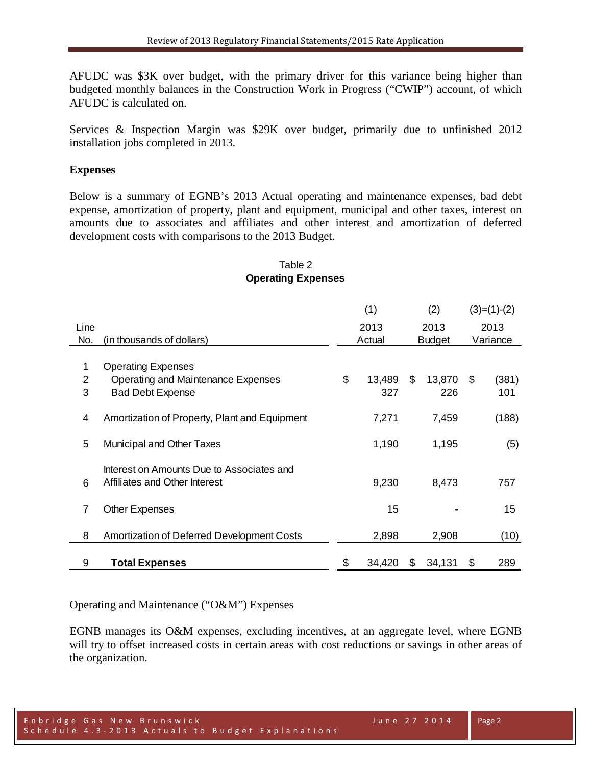AFUDC was \$3K over budget, with the primary driver for this variance being higher than budgeted monthly balances in the Construction Work in Progress ("CWIP") account, of which AFUDC is calculated on.

Services & Inspection Margin was \$29K over budget, primarily due to unfinished 2012 installation jobs completed in 2013.

#### **Expenses**

Below is a summary of EGNB's 2013 Actual operating and maintenance expenses, bad debt expense, amortization of property, plant and equipment, municipal and other taxes, interest on amounts due to associates and affiliates and other interest and amortization of deferred development costs with comparisons to the 2013 Budget.

### Table 2 **Operating Expenses**

|                |                                               | (1) |        | (2) |               |    | $(3)=(1)-(2)$ |
|----------------|-----------------------------------------------|-----|--------|-----|---------------|----|---------------|
| Line           |                                               |     | 2013   |     | 2013          |    | 2013          |
| No.            | (in thousands of dollars)                     |     | Actual |     | <b>Budget</b> |    | Variance      |
|                |                                               |     |        |     |               |    |               |
| 1              | <b>Operating Expenses</b>                     |     |        |     |               |    |               |
| $\overline{2}$ | Operating and Maintenance Expenses            | \$  | 13,489 | \$  | 13,870        | \$ | (381)         |
| 3              | <b>Bad Debt Expense</b>                       |     | 327    |     | 226           |    | 101           |
|                |                                               |     |        |     |               |    |               |
| 4              | Amortization of Property, Plant and Equipment |     | 7,271  |     | 7,459         |    | (188)         |
|                |                                               |     |        |     |               |    |               |
| 5              | Municipal and Other Taxes                     |     | 1,190  |     | 1,195         |    | (5)           |
|                |                                               |     |        |     |               |    |               |
|                | Interest on Amounts Due to Associates and     |     |        |     |               |    |               |
| 6              | Affiliates and Other Interest                 |     | 9,230  |     | 8,473         |    | 757           |
|                |                                               |     |        |     |               |    |               |
| $\overline{7}$ | <b>Other Expenses</b>                         |     | 15     |     |               |    | 15            |
|                |                                               |     |        |     |               |    |               |
| 8              | Amortization of Deferred Development Costs    |     | 2,898  |     | 2,908         |    | (10)          |
|                |                                               |     |        |     |               |    |               |
| 9              | <b>Total Expenses</b>                         | \$  | 34,420 | \$  | 34,131        | \$ | 289           |

#### Operating and Maintenance ("O&M") Expenses

EGNB manages its O&M expenses, excluding incentives, at an aggregate level, where EGNB will try to offset increased costs in certain areas with cost reductions or savings in other areas of the organization.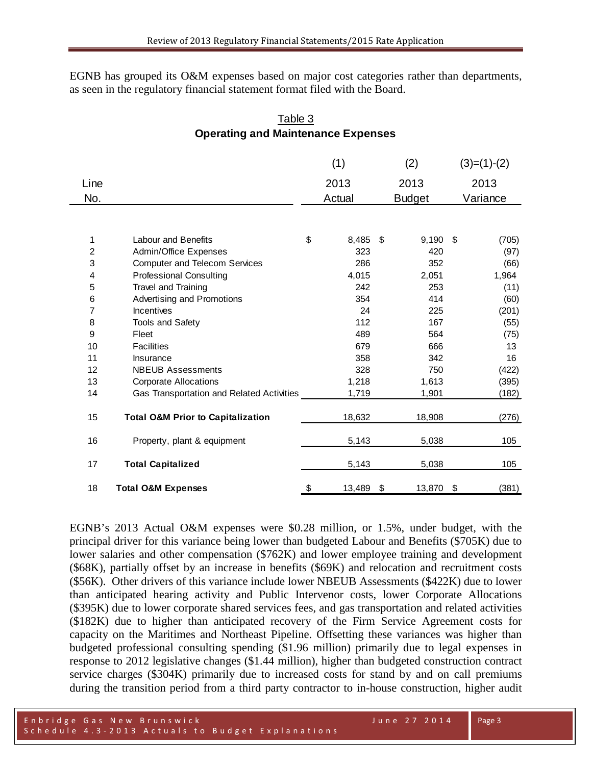EGNB has grouped its O&M expenses based on major cost categories rather than departments, as seen in the regulatory financial statement format filed with the Board.

## Table 3 **Operating and Maintenance Expenses**

|      |                                              | (1) |        |               | (2)    |    | $(3)=(1)-(2)$ |
|------|----------------------------------------------|-----|--------|---------------|--------|----|---------------|
| Line |                                              |     | 2013   |               | 2013   |    | 2013          |
| No.  |                                              |     | Actual | <b>Budget</b> |        |    | Variance      |
|      |                                              |     |        |               |        |    |               |
| 1    | <b>Labour and Benefits</b>                   | \$  | 8,485  | \$            | 9,190  | \$ | (705)         |
| 2    | Admin/Office Expenses                        |     | 323    |               | 420    |    | (97)          |
| 3    | <b>Computer and Telecom Services</b>         |     | 286    |               | 352    |    | (66)          |
| 4    | <b>Professional Consulting</b>               |     | 4,015  |               | 2,051  |    | 1,964         |
| 5    | Travel and Training                          |     | 242    |               | 253    |    | (11)          |
| 6    | Advertising and Promotions                   |     | 354    |               | 414    |    | (60)          |
| 7    | Incentives                                   |     | 24     |               | 225    |    | (201)         |
| 8    | <b>Tools and Safety</b>                      |     | 112    |               | 167    |    | (55)          |
| 9    | Fleet                                        |     | 489    |               | 564    |    | (75)          |
| 10   | <b>Facilities</b>                            |     | 679    |               | 666    |    | 13            |
| 11   | Insurance                                    |     | 358    |               | 342    |    | 16            |
| 12   | <b>NBEUB Assessments</b>                     |     | 328    |               | 750    |    | (422)         |
| 13   | <b>Corporate Allocations</b>                 |     | 1,218  |               | 1,613  |    | (395)         |
| 14   | Gas Transportation and Related Activities    |     | 1,719  |               | 1,901  |    | (182)         |
| 15   | <b>Total O&amp;M Prior to Capitalization</b> |     | 18,632 |               | 18,908 |    | (276)         |
| 16   | Property, plant & equipment                  |     | 5,143  |               | 5,038  |    | 105           |
| 17   | <b>Total Capitalized</b>                     |     | 5,143  |               | 5,038  |    | 105           |
| 18   | <b>Total O&amp;M Expenses</b>                | \$  | 13,489 | \$            | 13,870 | \$ | (381)         |

EGNB's 2013 Actual O&M expenses were \$0.28 million, or 1.5%, under budget, with the principal driver for this variance being lower than budgeted Labour and Benefits (\$705K) due to lower salaries and other compensation (\$762K) and lower employee training and development (\$68K), partially offset by an increase in benefits (\$69K) and relocation and recruitment costs (\$56K). Other drivers of this variance include lower NBEUB Assessments (\$422K) due to lower than anticipated hearing activity and Public Intervenor costs, lower Corporate Allocations (\$395K) due to lower corporate shared services fees, and gas transportation and related activities (\$182K) due to higher than anticipated recovery of the Firm Service Agreement costs for capacity on the Maritimes and Northeast Pipeline. Offsetting these variances was higher than budgeted professional consulting spending (\$1.96 million) primarily due to legal expenses in response to 2012 legislative changes (\$1.44 million), higher than budgeted construction contract service charges (\$304K) primarily due to increased costs for stand by and on call premiums during the transition period from a third party contractor to in-house construction, higher audit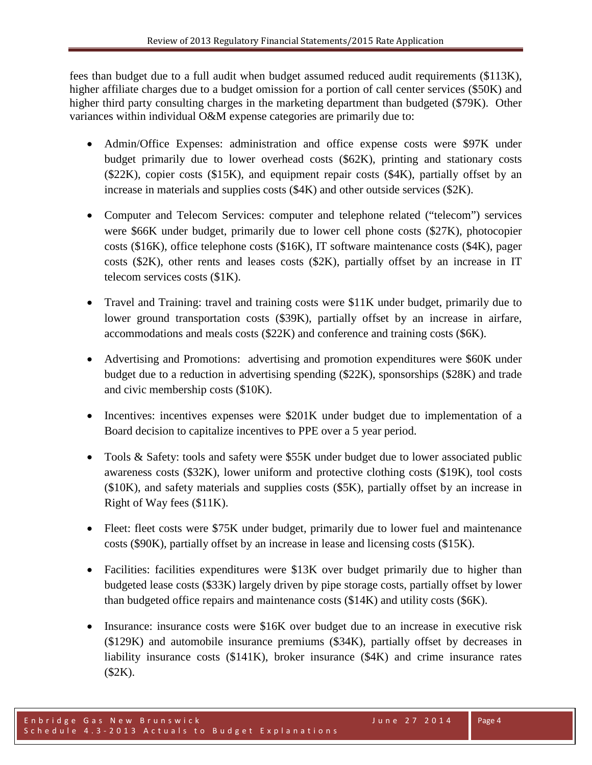fees than budget due to a full audit when budget assumed reduced audit requirements (\$113K), higher affiliate charges due to a budget omission for a portion of call center services (\$50K) and higher third party consulting charges in the marketing department than budgeted (\$79K). Other variances within individual O&M expense categories are primarily due to:

- Admin/Office Expenses: administration and office expense costs were \$97K under budget primarily due to lower overhead costs (\$62K), printing and stationary costs (\$22K), copier costs (\$15K), and equipment repair costs (\$4K), partially offset by an increase in materials and supplies costs (\$4K) and other outside services (\$2K).
- Computer and Telecom Services: computer and telephone related ("telecom") services were \$66K under budget, primarily due to lower cell phone costs (\$27K), photocopier costs (\$16K), office telephone costs (\$16K), IT software maintenance costs (\$4K), pager costs (\$2K), other rents and leases costs (\$2K), partially offset by an increase in IT telecom services costs (\$1K).
- Travel and Training: travel and training costs were \$11K under budget, primarily due to lower ground transportation costs (\$39K), partially offset by an increase in airfare, accommodations and meals costs (\$22K) and conference and training costs (\$6K).
- Advertising and Promotions: advertising and promotion expenditures were \$60K under budget due to a reduction in advertising spending (\$22K), sponsorships (\$28K) and trade and civic membership costs (\$10K).
- Incentives: incentives expenses were \$201K under budget due to implementation of a Board decision to capitalize incentives to PPE over a 5 year period.
- Tools & Safety: tools and safety were \$55K under budget due to lower associated public awareness costs (\$32K), lower uniform and protective clothing costs (\$19K), tool costs (\$10K), and safety materials and supplies costs (\$5K), partially offset by an increase in Right of Way fees (\$11K).
- Fleet: fleet costs were \$75K under budget, primarily due to lower fuel and maintenance costs (\$90K), partially offset by an increase in lease and licensing costs (\$15K).
- Facilities: facilities expenditures were \$13K over budget primarily due to higher than budgeted lease costs (\$33K) largely driven by pipe storage costs, partially offset by lower than budgeted office repairs and maintenance costs (\$14K) and utility costs (\$6K).
- Insurance: insurance costs were \$16K over budget due to an increase in executive risk (\$129K) and automobile insurance premiums (\$34K), partially offset by decreases in liability insurance costs (\$141K), broker insurance (\$4K) and crime insurance rates (\$2K).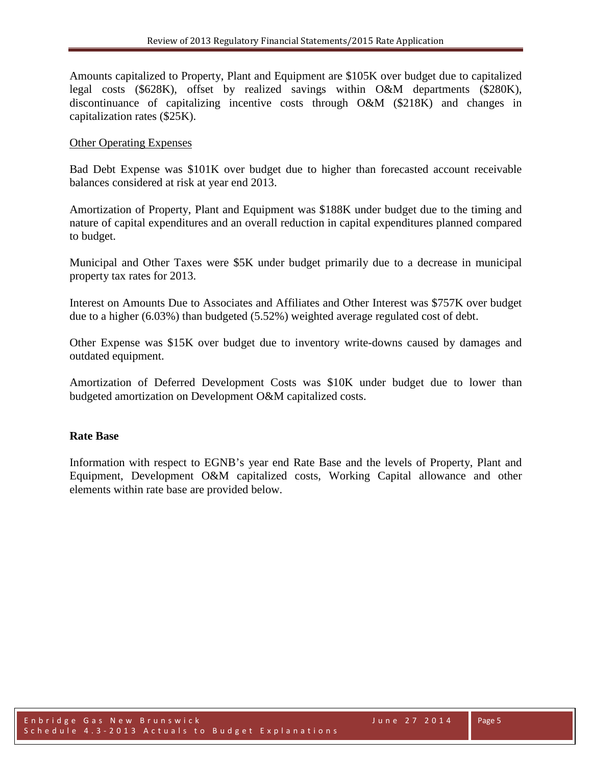Amounts capitalized to Property, Plant and Equipment are \$105K over budget due to capitalized legal costs (\$628K), offset by realized savings within O&M departments (\$280K), discontinuance of capitalizing incentive costs through O&M (\$218K) and changes in capitalization rates (\$25K).

#### Other Operating Expenses

Bad Debt Expense was \$101K over budget due to higher than forecasted account receivable balances considered at risk at year end 2013.

Amortization of Property, Plant and Equipment was \$188K under budget due to the timing and nature of capital expenditures and an overall reduction in capital expenditures planned compared to budget.

Municipal and Other Taxes were \$5K under budget primarily due to a decrease in municipal property tax rates for 2013.

Interest on Amounts Due to Associates and Affiliates and Other Interest was \$757K over budget due to a higher (6.03%) than budgeted (5.52%) weighted average regulated cost of debt.

Other Expense was \$15K over budget due to inventory write-downs caused by damages and outdated equipment.

Amortization of Deferred Development Costs was \$10K under budget due to lower than budgeted amortization on Development O&M capitalized costs.

#### **Rate Base**

Information with respect to EGNB's year end Rate Base and the levels of Property, Plant and Equipment, Development O&M capitalized costs, Working Capital allowance and other elements within rate base are provided below.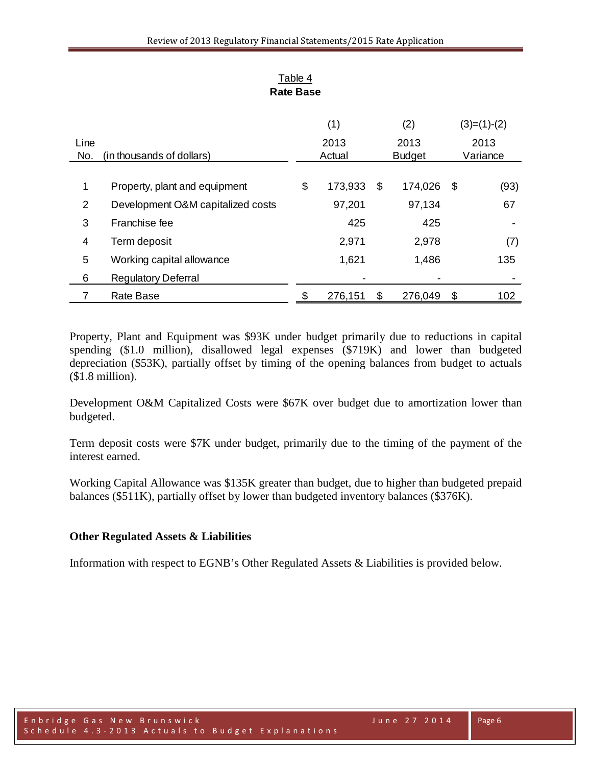|                |                                   |        | (1)     |               | (2)     |          | $(3)=(1)-(2)$ |
|----------------|-----------------------------------|--------|---------|---------------|---------|----------|---------------|
| Line           |                                   |        | 2013    |               | 2013    |          | 2013          |
| No.            | (in thousands of dollars)         | Actual |         | <b>Budget</b> |         | Variance |               |
|                |                                   |        |         |               |         |          |               |
| 1              | Property, plant and equipment     | \$     | 173,933 | S             | 174,026 | - \$     | (93)          |
| $\overline{2}$ | Development O&M capitalized costs |        | 97,201  |               | 97,134  |          | 67            |
| 3              | Franchise fee                     |        | 425     |               | 425     |          |               |
| 4              | Term deposit                      |        | 2,971   |               | 2,978   |          | (7)           |
| 5              | Working capital allowance         |        | 1,621   |               | 1,486   |          | 135           |
| 6              | <b>Regulatory Deferral</b>        |        |         |               |         |          |               |
|                | <b>Rate Base</b>                  | \$     | 276,151 | \$            | 276,049 | \$       | 102           |

Table 4 **Rate Base**

Property, Plant and Equipment was \$93K under budget primarily due to reductions in capital spending (\$1.0 million), disallowed legal expenses (\$719K) and lower than budgeted depreciation (\$53K), partially offset by timing of the opening balances from budget to actuals (\$1.8 million).

Development O&M Capitalized Costs were \$67K over budget due to amortization lower than budgeted.

Term deposit costs were \$7K under budget, primarily due to the timing of the payment of the interest earned.

Working Capital Allowance was \$135K greater than budget, due to higher than budgeted prepaid balances (\$511K), partially offset by lower than budgeted inventory balances (\$376K).

### **Other Regulated Assets & Liabilities**

Information with respect to EGNB's Other Regulated Assets & Liabilities is provided below.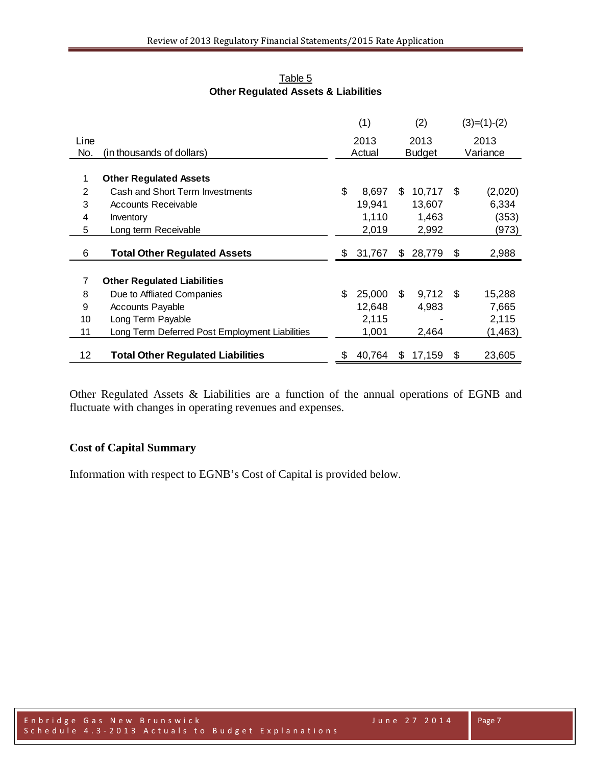|      |                                                | (1)          |     | (2)           |     | $(3)=(1)-(2)$ |
|------|------------------------------------------------|--------------|-----|---------------|-----|---------------|
| Line |                                                | 2013         |     | 2013          |     | 2013          |
| No.  | (in thousands of dollars)                      | Actual       |     | <b>Budget</b> |     | Variance      |
|      |                                                |              |     |               |     |               |
| 1    | <b>Other Regulated Assets</b>                  |              |     |               |     |               |
| 2    | Cash and Short Term Investments                | \$<br>8,697  | \$  | 10,717        | \$  | (2,020)       |
| 3    | Accounts Receivable                            | 19,941       |     | 13,607        |     | 6,334         |
| 4    | Inventory                                      | 1,110        |     | 1,463         |     | (353)         |
| 5    | Long term Receivable                           | 2,019        |     | 2,992         |     | (973)         |
|      |                                                |              |     |               |     |               |
| 6    | <b>Total Other Regulated Assets</b>            | \$<br>31,767 | \$  | 28,779        | \$  | 2,988         |
| 7    | <b>Other Regulated Liabilities</b>             |              |     |               |     |               |
| 8    | Due to Affliated Companies                     | \$<br>25,000 | \$. | 9,712         | -\$ | 15,288        |
| 9    | <b>Accounts Payable</b>                        | 12,648       |     | 4,983         |     | 7,665         |
| 10   | Long Term Payable                              | 2,115        |     |               |     | 2,115         |
| 11   | Long Term Deferred Post Employment Liabilities | 1,001        |     | 2,464         |     | (1, 463)      |
|      |                                                |              |     |               |     |               |
| 12   | <b>Total Other Regulated Liabilities</b>       | \$<br>40,764 | S   | 17,159        | \$  | 23,605        |

Table 5 **Other Regulated Assets & Liabilities**

Other Regulated Assets & Liabilities are a function of the annual operations of EGNB and fluctuate with changes in operating revenues and expenses.

## **Cost of Capital Summary**

Information with respect to EGNB's Cost of Capital is provided below.